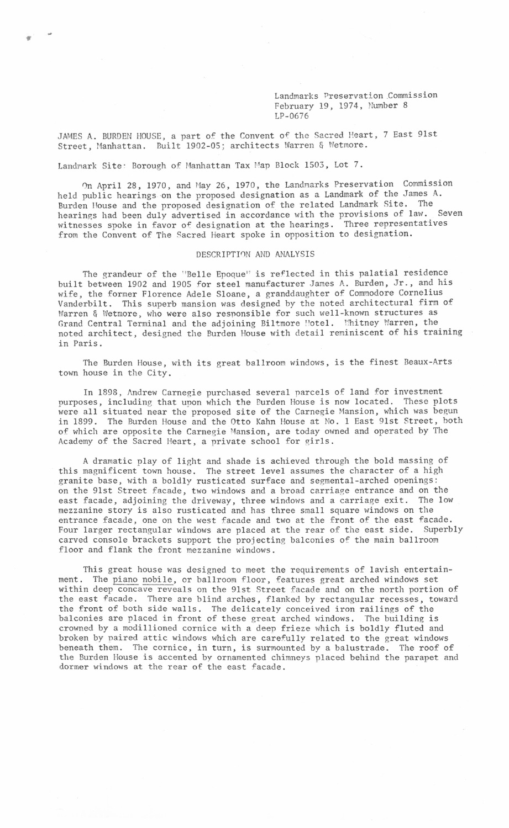Landmarks Preservation Commission February 19, 1974, Number 8 LP-0676

JAMES A. BURDEN HOUSE, a part of the Convent of the Sacred Heart, 7 East 91st Street, Manhattan. Built 1902-05; architects Warren & Wetmore.

Landmark Site: Borough of Manhattan Tax Map Block 1503, Lot 7.

0n April 28, 1970, and Hay 26, 1970, the Landmarks Preservation Commission held public hearings on the proposed designation as a Landmark of the James A. Burden House and the proposed designation of the related Landmark Site. The hearings had heen duly advertised in accordance with the provisions of law. Seven witnesses spoke in favor *of* designation at the hearings. Three representatives from the Convent of The Sacred Heart spoke in opposition to designation.

## DESCRIPTI0N AND ANALYSIS

The grandeur of the "Belle Epoque" is reflected in this palatial residence built between 1902 and 1905 for steel manufacturer James A. Burden, Jr., and his wife, the former Florence Adele Sloane, a granddaughter of Commodore Cornelius Vanderbilt. This superb mansion was designed by the noted architectural firm of Warren & Wetmore, who were also responsible for such well-known structures as Grand Central Terminal and the adjoining Biltmore Hotel. Whitney Warren, the noted architect, designed the Burden House with detail reminiscent of his training in Paris.

The Burden House, with its great ballroom windows, is the finest Beaux-Arts town house in the City.

In 1898, Andrew Carnegie purchased several parcels of land for investment purposes, including that upon which the Burden House is now located. These plots were all situated near the proposed site of the Carnegie Mansion, which was begun in 1899. The Burden House and the Otto Kahn House at No. 1 East 9lst Street, both of which are opposite the Carnegie Mansion, are today owned and operated by The Academy of the Sacred Heart, a private school for girls.

A dramatic play of light and shade is achieved through the bold massing of this magnificent town house. The street level assumes the character of a high granite base, with a boldly rusticated surface and segmental-arched openings: on the 9lst Street facade, two windows and a broad carriage entrance and on the east facade, adjoining the driveway, three windows and a carriage exit. The low mezzanine story is also rusticated and has three small square windows on the entrance facade, one on the west facade and two at the front of the east facade. Four larger rectangular windows are placed at the rear of the east side. Superbly carved console brackets support the projecting balconies of the main ballroom floor and flank the front mezzanine windows.

This great house was designed to meet the requirements of lavish entertainment. The piano nobile, or ballroom floor, features great arched windows set within deep concave reveals on the 9lst Street facade and on the north portion of the east facade. There are blind arches, flanked by rectangular recesses, toward the front of both side walls. The delicately conceived iron railings of the balconies are placed in front of these great arched windows. The building is crowned by a modillioned cornice with a deep frieze which is boldly fluted and broken by paired attic windows which are carefully related to the great windows beneath them. The cornice, in turn, is surmounted by a balustrade. The roof of the Burden House is accented by ornamented chimneys placed behind the parapet and dormer windows at the rear of the east facade.